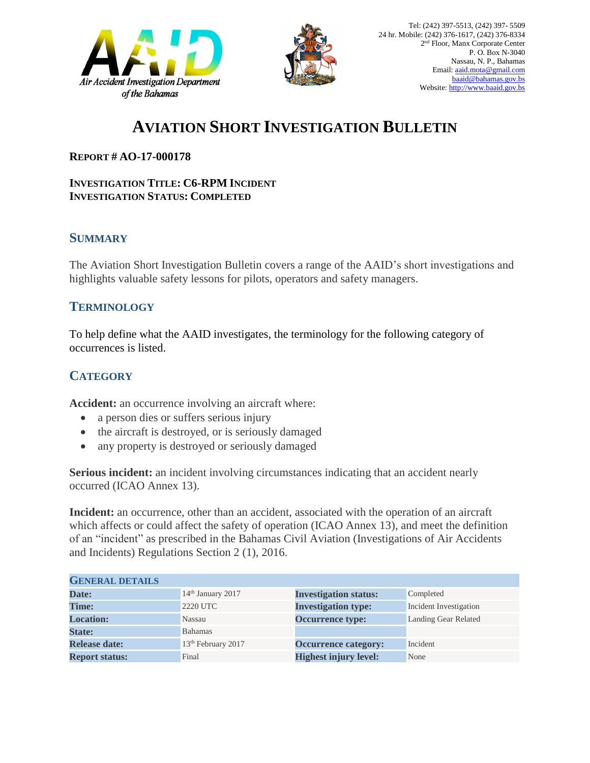



# **AVIATION SHORT INVESTIGATION BULLETIN**

#### **REPORT # AO-17-000178**

#### **INVESTIGATION TITLE: C6-RPM INCIDENT INVESTIGATION STATUS: COMPLETED**

### **SUMMARY**

The Aviation Short Investigation Bulletin covers a range of the AAID's short investigations and highlights valuable safety lessons for pilots, operators and safety managers.

### **TERMINOLOGY**

To help define what the AAID investigates, the terminology for the following category of occurrences is listed.

## **CATEGORY**

**Accident:** an occurrence involving an aircraft where:

- a person dies or suffers serious injury
- the aircraft is destroyed, or is seriously damaged
- any property is destroyed or seriously damaged

**Serious incident:** an incident involving circumstances indicating that an accident nearly occurred (ICAO Annex 13).

**Incident:** an occurrence, other than an accident, associated with the operation of an aircraft which affects or could affect the safety of operation (ICAO Annex 13), and meet the definition of an "incident" as prescribed in the Bahamas Civil Aviation (Investigations of Air Accidents and Incidents) Regulations Section 2 (1), 2016.

| <b>GENERAL DETAILS</b> |                                |                              |                             |
|------------------------|--------------------------------|------------------------------|-----------------------------|
| Date:                  | 14 <sup>th</sup> January 2017  | <b>Investigation status:</b> | Completed                   |
| <b>Time:</b>           | 2220 UTC                       | <b>Investigation type:</b>   | Incident Investigation      |
| <b>Location:</b>       | Nassau                         | <b>Occurrence type:</b>      | <b>Landing Gear Related</b> |
| <b>State:</b>          | <b>Bahamas</b>                 |                              |                             |
| <b>Release date:</b>   | 13 <sup>th</sup> February 2017 | <b>Occurrence category:</b>  | Incident                    |
| <b>Report status:</b>  | Final                          | <b>Highest injury level:</b> | None                        |